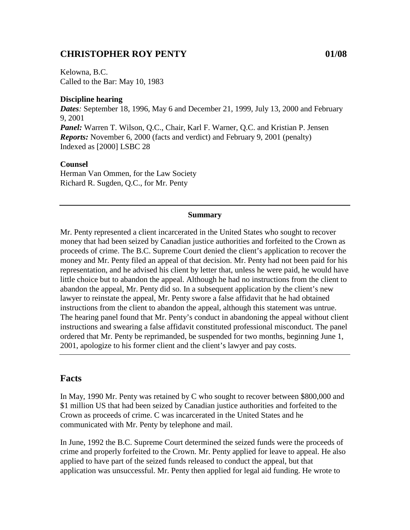## **CHRISTOPHER ROY PENTY 01/08**

Kelowna, B.C. Called to the Bar: May 10, 1983

### **Discipline hearing**

*Dates:* September 18, 1996, May 6 and December 21, 1999, July 13, 2000 and February 9, 2001 *Panel:* Warren T. Wilson, Q.C., Chair, Karl F. Warner, Q.C. and Kristian P. Jensen *Reports:* November 6, 2000 (facts and verdict) and February 9, 2001 (penalty) Indexed as [2000] LSBC 28

### **Counsel**

Herman Van Ommen, for the Law Society Richard R. Sugden, Q.C., for Mr. Penty

#### **Summary**

Mr. Penty represented a client incarcerated in the United States who sought to recover money that had been seized by Canadian justice authorities and forfeited to the Crown as proceeds of crime. The B.C. Supreme Court denied the client's application to recover the money and Mr. Penty filed an appeal of that decision. Mr. Penty had not been paid for his representation, and he advised his client by letter that, unless he were paid, he would have little choice but to abandon the appeal. Although he had no instructions from the client to abandon the appeal, Mr. Penty did so. In a subsequent application by the client's new lawyer to reinstate the appeal, Mr. Penty swore a false affidavit that he had obtained instructions from the client to abandon the appeal, although this statement was untrue. The hearing panel found that Mr. Penty's conduct in abandoning the appeal without client instructions and swearing a false affidavit constituted professional misconduct. The panel ordered that Mr. Penty be reprimanded, be suspended for two months, beginning June 1, 2001, apologize to his former client and the client's lawyer and pay costs.

## **Facts**

In May, 1990 Mr. Penty was retained by C who sought to recover between \$800,000 and \$1 million US that had been seized by Canadian justice authorities and forfeited to the Crown as proceeds of crime. C was incarcerated in the United States and he communicated with Mr. Penty by telephone and mail.

In June, 1992 the B.C. Supreme Court determined the seized funds were the proceeds of crime and properly forfeited to the Crown. Mr. Penty applied for leave to appeal. He also applied to have part of the seized funds released to conduct the appeal, but that application was unsuccessful. Mr. Penty then applied for legal aid funding. He wrote to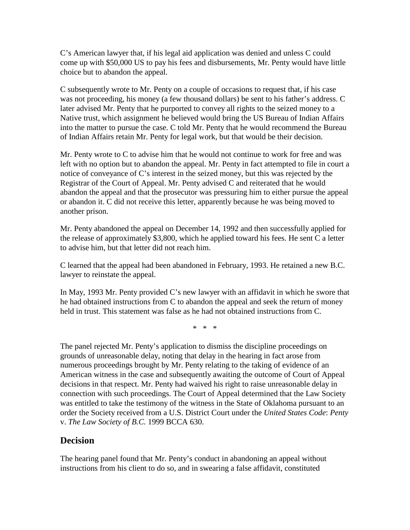C's American lawyer that, if his legal aid application was denied and unless C could come up with \$50,000 US to pay his fees and disbursements, Mr. Penty would have little choice but to abandon the appeal.

C subsequently wrote to Mr. Penty on a couple of occasions to request that, if his case was not proceeding, his money (a few thousand dollars) be sent to his father's address. C later advised Mr. Penty that he purported to convey all rights to the seized money to a Native trust, which assignment he believed would bring the US Bureau of Indian Affairs into the matter to pursue the case. C told Mr. Penty that he would recommend the Bureau of Indian Affairs retain Mr. Penty for legal work, but that would be their decision.

Mr. Penty wrote to C to advise him that he would not continue to work for free and was left with no option but to abandon the appeal. Mr. Penty in fact attempted to file in court a notice of conveyance of C's interest in the seized money, but this was rejected by the Registrar of the Court of Appeal. Mr. Penty advised C and reiterated that he would abandon the appeal and that the prosecutor was pressuring him to either pursue the appeal or abandon it. C did not receive this letter, apparently because he was being moved to another prison.

Mr. Penty abandoned the appeal on December 14, 1992 and then successfully applied for the release of approximately \$3,800, which he applied toward his fees. He sent C a letter to advise him, but that letter did not reach him.

C learned that the appeal had been abandoned in February, 1993. He retained a new B.C. lawyer to reinstate the appeal.

In May, 1993 Mr. Penty provided C's new lawyer with an affidavit in which he swore that he had obtained instructions from C to abandon the appeal and seek the return of money held in trust. This statement was false as he had not obtained instructions from C.

\* \* \*

The panel rejected Mr. Penty's application to dismiss the discipline proceedings on grounds of unreasonable delay, noting that delay in the hearing in fact arose from numerous proceedings brought by Mr. Penty relating to the taking of evidence of an American witness in the case and subsequently awaiting the outcome of Court of Appeal decisions in that respect. Mr. Penty had waived his right to raise unreasonable delay in connection with such proceedings. The Court of Appeal determined that the Law Society was entitled to take the testimony of the witness in the State of Oklahoma pursuant to an order the Society received from a U.S. District Court under the *United States Code*: *Penty* v. *The Law Society of B.C.* 1999 BCCA 630.

# **Decision**

The hearing panel found that Mr. Penty's conduct in abandoning an appeal without instructions from his client to do so, and in swearing a false affidavit, constituted